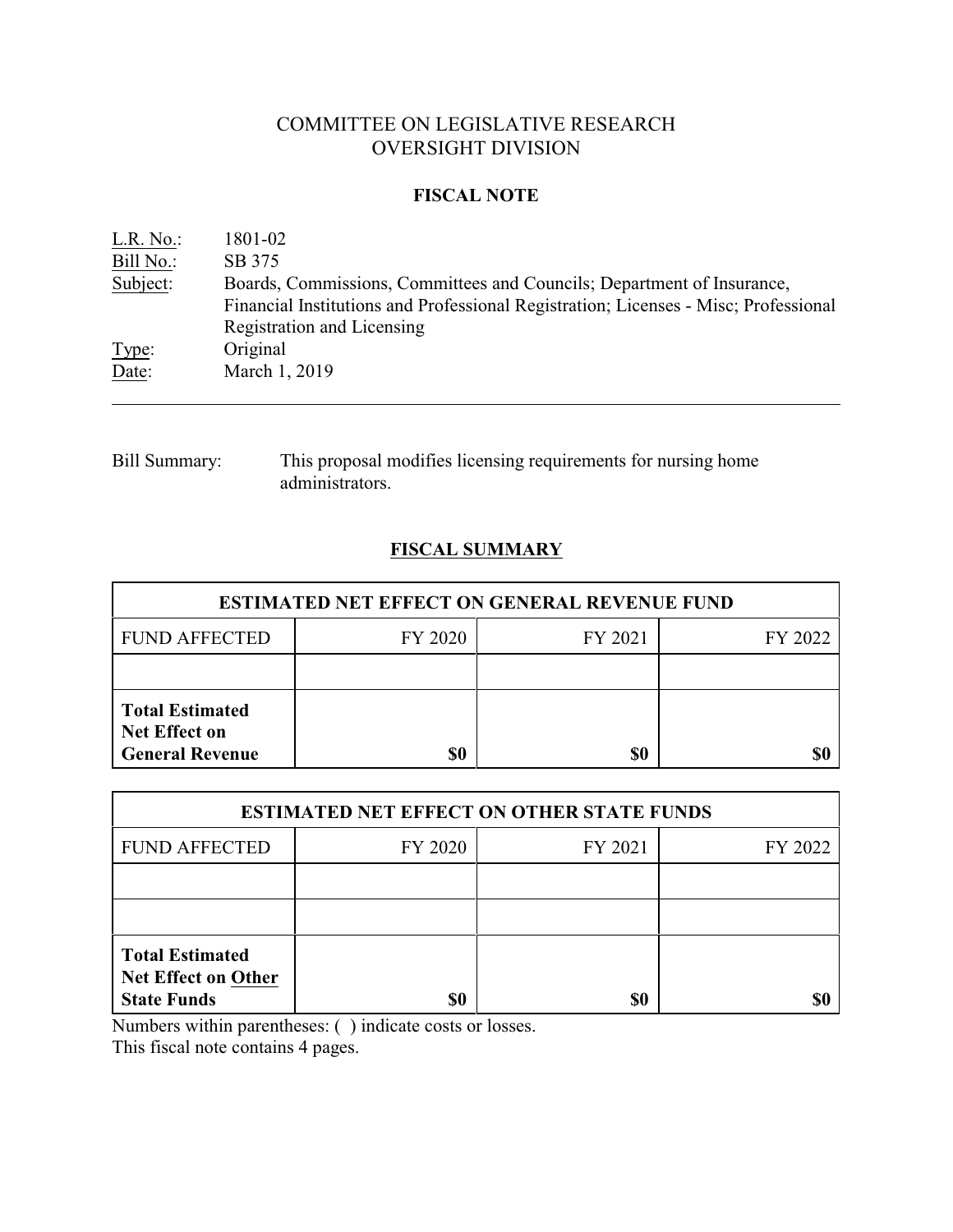# COMMITTEE ON LEGISLATIVE RESEARCH OVERSIGHT DIVISION

#### **FISCAL NOTE**

| L.R. No.  | 1801-02                                                                                                                                                       |
|-----------|---------------------------------------------------------------------------------------------------------------------------------------------------------------|
| Bill No.: | SB 375                                                                                                                                                        |
| Subject:  | Boards, Commissions, Committees and Councils; Department of Insurance,<br>Financial Institutions and Professional Registration; Licenses - Misc; Professional |
|           | Registration and Licensing                                                                                                                                    |
| Type:     | Original                                                                                                                                                      |
| Date:     | March 1, 2019                                                                                                                                                 |

Bill Summary: This proposal modifies licensing requirements for nursing home administrators.

## **FISCAL SUMMARY**

| <b>ESTIMATED NET EFFECT ON GENERAL REVENUE FUND</b>                      |           |         |         |  |
|--------------------------------------------------------------------------|-----------|---------|---------|--|
| <b>FUND AFFECTED</b>                                                     | FY 2020   | FY 2021 | FY 2022 |  |
|                                                                          |           |         |         |  |
| <b>Total Estimated</b><br><b>Net Effect on</b><br><b>General Revenue</b> | <b>SO</b> | \$0     |         |  |

| <b>ESTIMATED NET EFFECT ON OTHER STATE FUNDS</b>                           |         |         |         |  |
|----------------------------------------------------------------------------|---------|---------|---------|--|
| <b>FUND AFFECTED</b>                                                       | FY 2020 | FY 2021 | FY 2022 |  |
|                                                                            |         |         |         |  |
|                                                                            |         |         |         |  |
| <b>Total Estimated</b><br><b>Net Effect on Other</b><br><b>State Funds</b> | \$0     | \$0     |         |  |

Numbers within parentheses: ( ) indicate costs or losses.

This fiscal note contains 4 pages.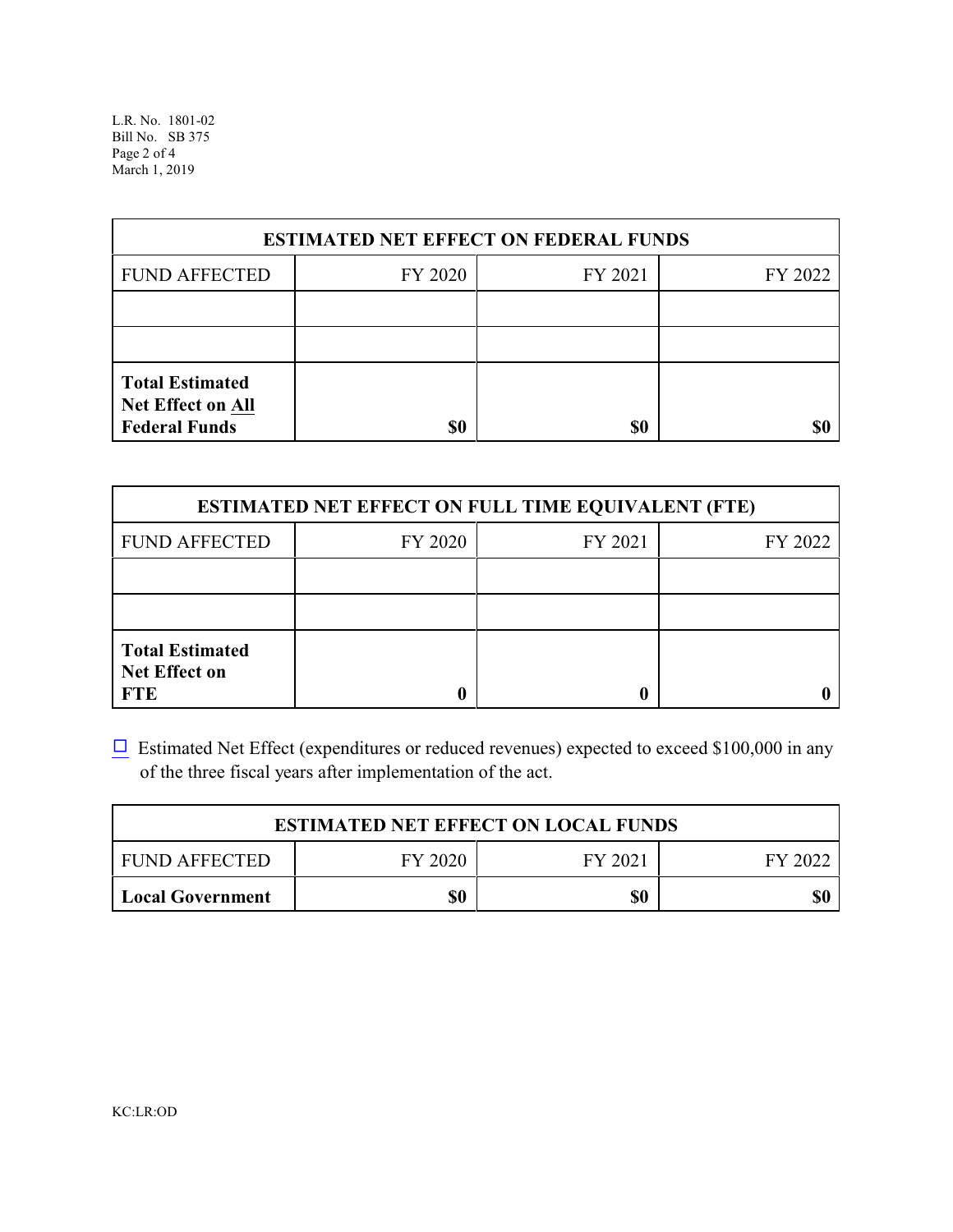L.R. No. 1801-02 Bill No. SB 375 Page 2 of 4 March 1, 2019

| <b>ESTIMATED NET EFFECT ON FEDERAL FUNDS</b>                        |         |         |         |  |
|---------------------------------------------------------------------|---------|---------|---------|--|
| <b>FUND AFFECTED</b>                                                | FY 2020 | FY 2021 | FY 2022 |  |
|                                                                     |         |         |         |  |
|                                                                     |         |         |         |  |
| <b>Total Estimated</b><br>Net Effect on All<br><b>Federal Funds</b> | \$0     | \$0     | \$0     |  |

| <b>ESTIMATED NET EFFECT ON FULL TIME EQUIVALENT (FTE)</b>    |         |         |         |  |
|--------------------------------------------------------------|---------|---------|---------|--|
| <b>FUND AFFECTED</b>                                         | FY 2020 | FY 2021 | FY 2022 |  |
|                                                              |         |         |         |  |
|                                                              |         |         |         |  |
| <b>Total Estimated</b><br><b>Net Effect on</b><br><b>FTE</b> |         |         |         |  |

 $\Box$  Estimated Net Effect (expenditures or reduced revenues) expected to exceed \$100,000 in any of the three fiscal years after implementation of the act.

| <b>ESTIMATED NET EFFECT ON LOCAL FUNDS</b> |         |         |         |  |
|--------------------------------------------|---------|---------|---------|--|
| <b>FUND AFFECTED</b>                       | FY 2020 | FY 2021 | FY 2022 |  |
| Local Government                           | \$0     | \$0     | \$0     |  |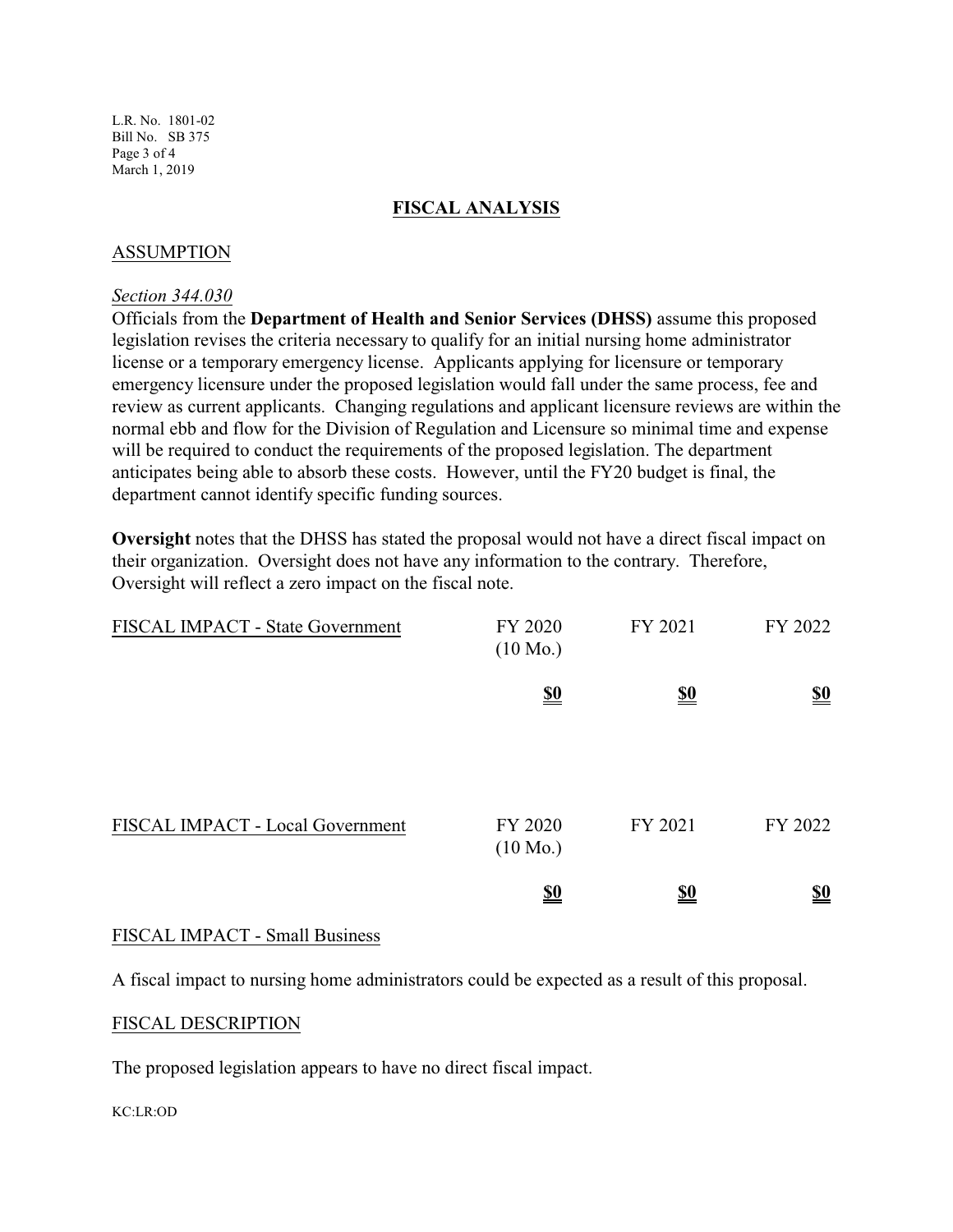### **FISCAL ANALYSIS**

### ASSUMPTION

#### *Section 344.030*

Officials from the **Department of Health and Senior Services (DHSS)** assume this proposed legislation revises the criteria necessary to qualify for an initial nursing home administrator license or a temporary emergency license. Applicants applying for licensure or temporary emergency licensure under the proposed legislation would fall under the same process, fee and review as current applicants. Changing regulations and applicant licensure reviews are within the normal ebb and flow for the Division of Regulation and Licensure so minimal time and expense will be required to conduct the requirements of the proposed legislation. The department anticipates being able to absorb these costs. However, until the FY20 budget is final, the department cannot identify specific funding sources.

**Oversight** notes that the DHSS has stated the proposal would not have a direct fiscal impact on their organization. Oversight does not have any information to the contrary. Therefore, Oversight will reflect a zero impact on the fiscal note.

| FISCAL IMPACT - State Government | FY 2020<br>$(10 \text{ Mo.})$ | FY 2021                       | FY 2022                       |
|----------------------------------|-------------------------------|-------------------------------|-------------------------------|
|                                  | $\underline{\underline{\$0}}$ | $\underline{\underline{\$0}}$ | $\underline{\underline{\$0}}$ |
| FISCAL IMPACT - Local Government | FY 2020<br>$(10 \text{ Mo.})$ | FY 2021                       | FY 2022                       |
|                                  | <u>\$0</u>                    | <u>\$0</u>                    | <u>\$0</u>                    |

#### FISCAL IMPACT - Small Business

A fiscal impact to nursing home administrators could be expected as a result of this proposal.

#### FISCAL DESCRIPTION

The proposed legislation appears to have no direct fiscal impact.

#### KC:LR:OD